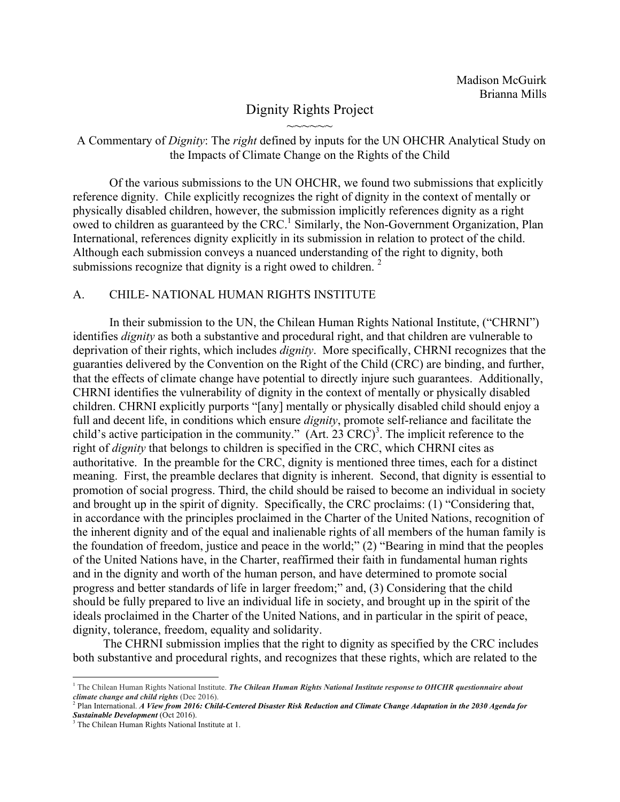## Dignity Rights Project  $\sim$  $\sim$  $\sim$  $\sim$  $\sim$

A Commentary of *Dignity*: The *right* defined by inputs for the UN OHCHR Analytical Study on the Impacts of Climate Change on the Rights of the Child

Of the various submissions to the UN OHCHR, we found two submissions that explicitly reference dignity. Chile explicitly recognizes the right of dignity in the context of mentally or physically disabled children, however, the submission implicitly references dignity as a right owed to children as guaranteed by the CRC.<sup>1</sup> Similarly, the Non-Government Organization, Plan International, references dignity explicitly in its submission in relation to protect of the child. Although each submission conveys a nuanced understanding of the right to dignity, both submissions recognize that dignity is a right owed to children.  $2^2$ 

## A. CHILE- NATIONAL HUMAN RIGHTS INSTITUTE

In their submission to the UN, the Chilean Human Rights National Institute, ("CHRNI") identifies *dignity* as both a substantive and procedural right, and that children are vulnerable to deprivation of their rights, which includes *dignity*. More specifically, CHRNI recognizes that the guaranties delivered by the Convention on the Right of the Child (CRC) are binding, and further, that the effects of climate change have potential to directly injure such guarantees. Additionally, CHRNI identifies the vulnerability of dignity in the context of mentally or physically disabled children. CHRNI explicitly purports "[any] mentally or physically disabled child should enjoy a full and decent life, in conditions which ensure *dignity*, promote self-reliance and facilitate the child's active participation in the community."  $(Art. 23 CRC)^3$ . The implicit reference to the right of *dignity* that belongs to children is specified in the CRC, which CHRNI cites as authoritative. In the preamble for the CRC, dignity is mentioned three times, each for a distinct meaning. First, the preamble declares that dignity is inherent. Second, that dignity is essential to promotion of social progress. Third, the child should be raised to become an individual in society and brought up in the spirit of dignity. Specifically, the CRC proclaims: (1) "Considering that, in accordance with the principles proclaimed in the Charter of the United Nations, recognition of the inherent dignity and of the equal and inalienable rights of all members of the human family is the foundation of freedom, justice and peace in the world;" (2) "Bearing in mind that the peoples of the United Nations have, in the Charter, reaffirmed their faith in fundamental human rights and in the dignity and worth of the human person, and have determined to promote social progress and better standards of life in larger freedom;" and, (3) Considering that the child should be fully prepared to live an individual life in society, and brought up in the spirit of the ideals proclaimed in the Charter of the United Nations, and in particular in the spirit of peace, dignity, tolerance, freedom, equality and solidarity.

 The CHRNI submission implies that the right to dignity as specified by the CRC includes both substantive and procedural rights, and recognizes that these rights, which are related to the

 

<sup>&</sup>lt;sup>1</sup> The Chilean Human Rights National Institute. *The Chilean Human Rights National Institute response to OHCHR questionnaire about climate change and child rights* (Dec 2016). 2 Plan International. *A View from 2016: Child-Centered Disaster Risk Reduction and Climate Change Adaptation in the 2030 Agenda for* 

*Sustainable Development* (Oct 2016).

<sup>&</sup>lt;sup>3</sup> The Chilean Human Rights National Institute at 1.